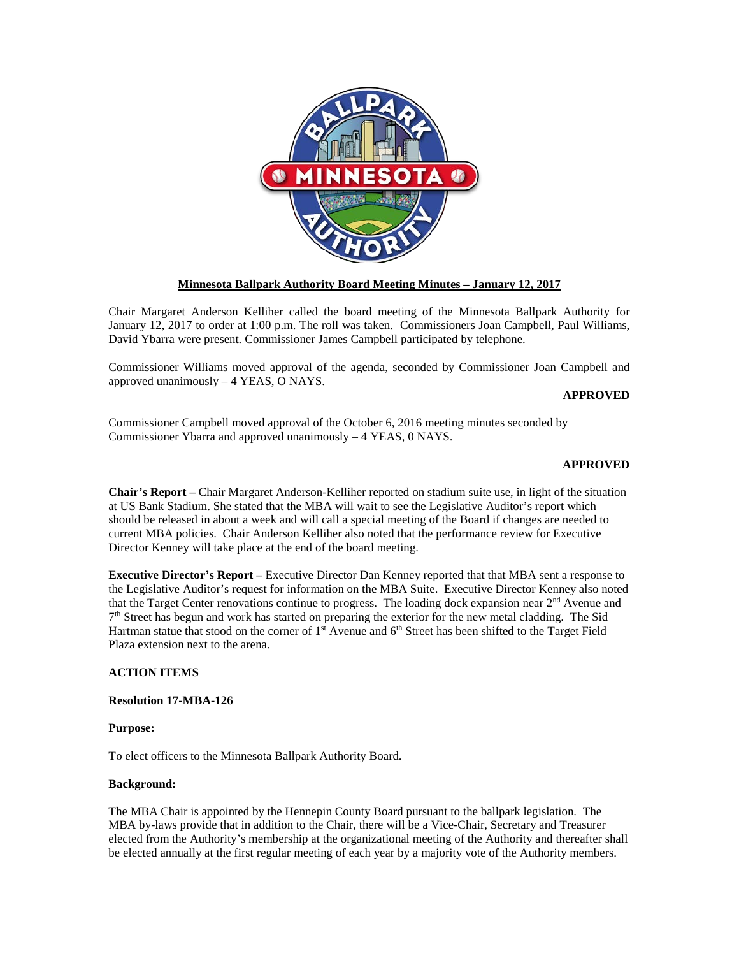

# **Minnesota Ballpark Authority Board Meeting Minutes – January 12, 2017**

Chair Margaret Anderson Kelliher called the board meeting of the Minnesota Ballpark Authority for January 12, 2017 to order at 1:00 p.m. The roll was taken. Commissioners Joan Campbell, Paul Williams, David Ybarra were present. Commissioner James Campbell participated by telephone.

Commissioner Williams moved approval of the agenda, seconded by Commissioner Joan Campbell and approved unanimously – 4 YEAS, O NAYS.

## **APPROVED**

Commissioner Campbell moved approval of the October 6, 2016 meeting minutes seconded by Commissioner Ybarra and approved unanimously – 4 YEAS, 0 NAYS.

## **APPROVED**

**Chair's Report –** Chair Margaret Anderson-Kelliher reported on stadium suite use, in light of the situation at US Bank Stadium. She stated that the MBA will wait to see the Legislative Auditor's report which should be released in about a week and will call a special meeting of the Board if changes are needed to current MBA policies. Chair Anderson Kelliher also noted that the performance review for Executive Director Kenney will take place at the end of the board meeting.

**Executive Director's Report –** Executive Director Dan Kenney reported that that MBA sent a response to the Legislative Auditor's request for information on the MBA Suite. Executive Director Kenney also noted that the Target Center renovations continue to progress. The loading dock expansion near 2<sup>nd</sup> Avenue and 7<sup>th</sup> Street has begun and work has started on preparing the exterior for the new metal cladding. The Sid Hartman statue that stood on the corner of 1<sup>st</sup> Avenue and 6<sup>th</sup> Street has been shifted to the Target Field Plaza extension next to the arena.

## **ACTION ITEMS**

**Resolution 17-MBA-126**

#### **Purpose:**

To elect officers to the Minnesota Ballpark Authority Board.

#### **Background:**

The MBA Chair is appointed by the Hennepin County Board pursuant to the ballpark legislation. The MBA by-laws provide that in addition to the Chair, there will be a Vice-Chair, Secretary and Treasurer elected from the Authority's membership at the organizational meeting of the Authority and thereafter shall be elected annually at the first regular meeting of each year by a majority vote of the Authority members.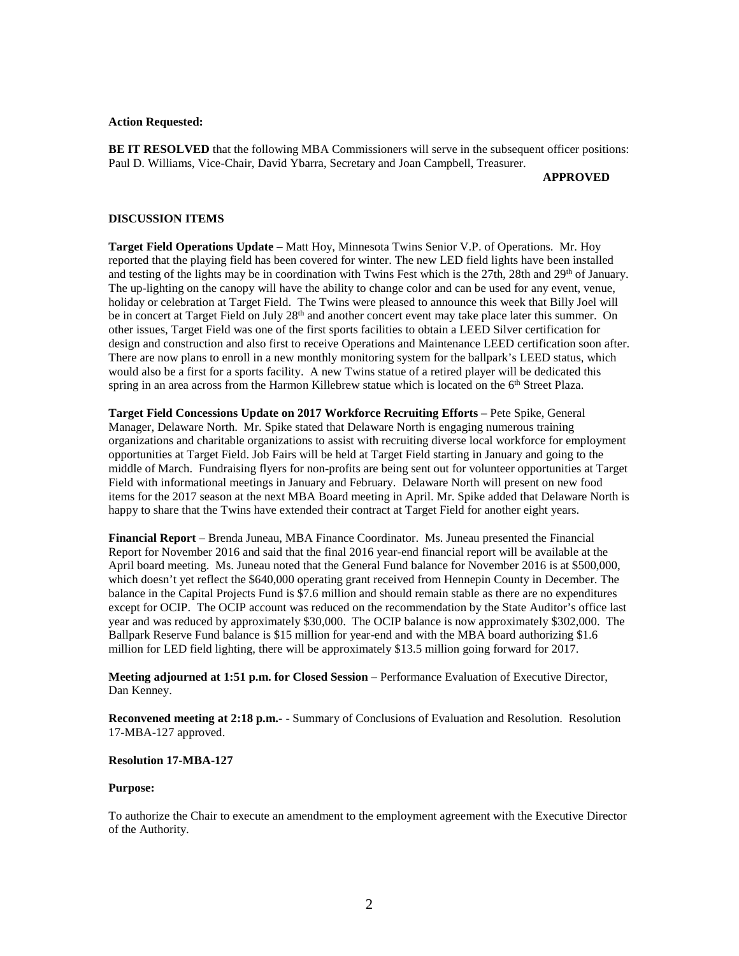#### **Action Requested:**

**BE IT RESOLVED** that the following MBA Commissioners will serve in the subsequent officer positions: Paul D. Williams, Vice-Chair, David Ybarra, Secretary and Joan Campbell, Treasurer.

### **APPROVED**

## **DISCUSSION ITEMS**

**Target Field Operations Update** – Matt Hoy, Minnesota Twins Senior V.P. of Operations. Mr. Hoy reported that the playing field has been covered for winter. The new LED field lights have been installed and testing of the lights may be in coordination with Twins Fest which is the 27th, 28th and 29<sup>th</sup> of January. The up-lighting on the canopy will have the ability to change color and can be used for any event, venue, holiday or celebration at Target Field. The Twins were pleased to announce this week that Billy Joel will be in concert at Target Field on July  $28<sup>th</sup>$  and another concert event may take place later this summer. On other issues, Target Field was one of the first sports facilities to obtain a LEED Silver certification for design and construction and also first to receive Operations and Maintenance LEED certification soon after. There are now plans to enroll in a new monthly monitoring system for the ballpark's LEED status, which would also be a first for a sports facility. A new Twins statue of a retired player will be dedicated this spring in an area across from the Harmon Killebrew statue which is located on the  $6<sup>th</sup>$  Street Plaza.

**Target Field Concessions Update on 2017 Workforce Recruiting Efforts –** Pete Spike, General Manager, Delaware North. Mr. Spike stated that Delaware North is engaging numerous training organizations and charitable organizations to assist with recruiting diverse local workforce for employment opportunities at Target Field. Job Fairs will be held at Target Field starting in January and going to the middle of March. Fundraising flyers for non-profits are being sent out for volunteer opportunities at Target Field with informational meetings in January and February. Delaware North will present on new food items for the 2017 season at the next MBA Board meeting in April. Mr. Spike added that Delaware North is happy to share that the Twins have extended their contract at Target Field for another eight years.

**Financial Report** – Brenda Juneau, MBA Finance Coordinator. Ms. Juneau presented the Financial Report for November 2016 and said that the final 2016 year-end financial report will be available at the April board meeting. Ms. Juneau noted that the General Fund balance for November 2016 is at \$500,000, which doesn't yet reflect the \$640,000 operating grant received from Hennepin County in December. The balance in the Capital Projects Fund is \$7.6 million and should remain stable as there are no expenditures except for OCIP. The OCIP account was reduced on the recommendation by the State Auditor's office last year and was reduced by approximately \$30,000. The OCIP balance is now approximately \$302,000. The Ballpark Reserve Fund balance is \$15 million for year-end and with the MBA board authorizing \$1.6 million for LED field lighting, there will be approximately \$13.5 million going forward for 2017.

**Meeting adjourned at 1:51 p.m. for Closed Session** – Performance Evaluation of Executive Director, Dan Kenney.

**Reconvened meeting at 2:18 p.m.-** - Summary of Conclusions of Evaluation and Resolution. Resolution 17-MBA-127 approved.

# **Resolution 17-MBA-127**

#### **Purpose:**

To authorize the Chair to execute an amendment to the employment agreement with the Executive Director of the Authority.